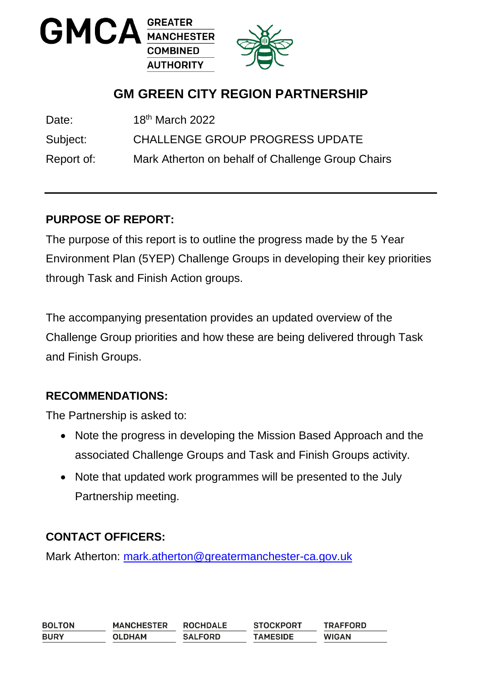

# **GM GREEN CITY REGION PARTNERSHIP**

| Date: | $18th$ March 2022 |
|-------|-------------------|
|-------|-------------------|

Subject: CHALLENGE GROUP PROGRESS UPDATE

Report of: Mark Atherton on behalf of Challenge Group Chairs

# **PURPOSE OF REPORT:**

The purpose of this report is to outline the progress made by the 5 Year Environment Plan (5YEP) Challenge Groups in developing their key priorities through Task and Finish Action groups.

The accompanying presentation provides an updated overview of the Challenge Group priorities and how these are being delivered through Task and Finish Groups.

# **RECOMMENDATIONS:**

The Partnership is asked to:

- Note the progress in developing the Mission Based Approach and the associated Challenge Groups and Task and Finish Groups activity.
- Note that updated work programmes will be presented to the July Partnership meeting.

# **CONTACT OFFICERS:**

Mark Atherton: [mark.atherton@greatermanchester-ca.gov.uk](mailto:mark.atherton@greatermanchester-ca.gov.uk)

| <b>BOLTON</b> | <b>MANCHESTER</b> | <b>ROCHDALE</b> | <b>STOCKPORT</b> | <b>TRAFFORD</b> |
|---------------|-------------------|-----------------|------------------|-----------------|
| <b>BURY</b>   | <b>OLDHAM</b>     | <b>SALFORD</b>  | <b>TAMESIDE</b>  | <b>WIGAN</b>    |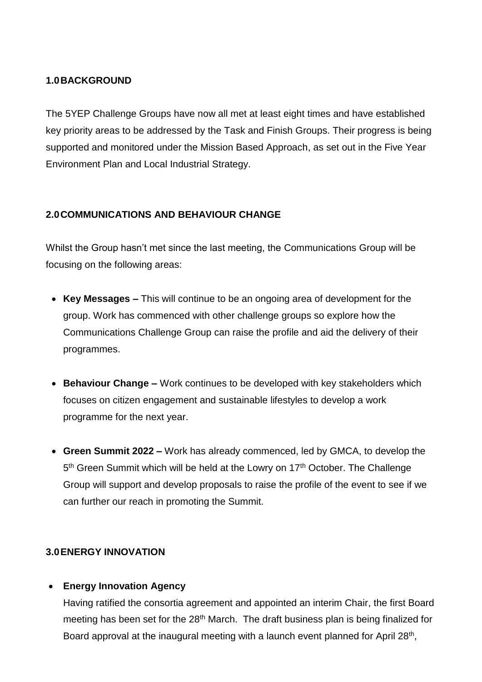# **1.0BACKGROUND**

The 5YEP Challenge Groups have now all met at least eight times and have established key priority areas to be addressed by the Task and Finish Groups. Their progress is being supported and monitored under the Mission Based Approach, as set out in the Five Year Environment Plan and Local Industrial Strategy.

# **2.0COMMUNICATIONS AND BEHAVIOUR CHANGE**

Whilst the Group hasn't met since the last meeting, the Communications Group will be focusing on the following areas:

- **Key Messages –** This will continue to be an ongoing area of development for the group. Work has commenced with other challenge groups so explore how the Communications Challenge Group can raise the profile and aid the delivery of their programmes.
- **Behaviour Change –** Work continues to be developed with key stakeholders which focuses on citizen engagement and sustainable lifestyles to develop a work programme for the next year.
- **Green Summit 2022 –** Work has already commenced, led by GMCA, to develop the 5<sup>th</sup> Green Summit which will be held at the Lowry on 17<sup>th</sup> October. The Challenge Group will support and develop proposals to raise the profile of the event to see if we can further our reach in promoting the Summit.

# **3.0ENERGY INNOVATION**

# **Energy Innovation Agency**

Having ratified the consortia agreement and appointed an interim Chair, the first Board meeting has been set for the 28<sup>th</sup> March. The draft business plan is being finalized for Board approval at the inaugural meeting with a launch event planned for April 28<sup>th</sup>,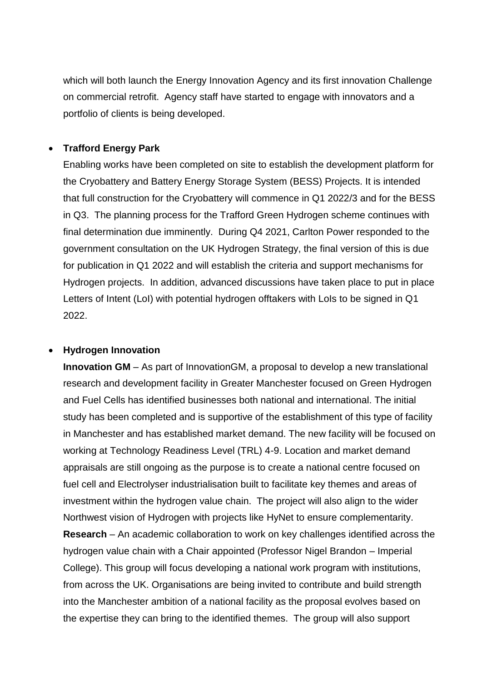which will both launch the Energy Innovation Agency and its first innovation Challenge on commercial retrofit. Agency staff have started to engage with innovators and a portfolio of clients is being developed.

#### **Trafford Energy Park**

Enabling works have been completed on site to establish the development platform for the Cryobattery and Battery Energy Storage System (BESS) Projects. It is intended that full construction for the Cryobattery will commence in Q1 2022/3 and for the BESS in Q3. The planning process for the Trafford Green Hydrogen scheme continues with final determination due imminently. During Q4 2021, Carlton Power responded to the government consultation on the UK Hydrogen Strategy, the final version of this is due for publication in Q1 2022 and will establish the criteria and support mechanisms for Hydrogen projects. In addition, advanced discussions have taken place to put in place Letters of Intent (LoI) with potential hydrogen offtakers with LoIs to be signed in Q1 2022.

# **Hydrogen Innovation**

**Innovation GM** – As part of InnovationGM, a proposal to develop a new translational research and development facility in Greater Manchester focused on Green Hydrogen and Fuel Cells has identified businesses both national and international. The initial study has been completed and is supportive of the establishment of this type of facility in Manchester and has established market demand. The new facility will be focused on working at Technology Readiness Level (TRL) 4-9. Location and market demand appraisals are still ongoing as the purpose is to create a national centre focused on fuel cell and Electrolyser industrialisation built to facilitate key themes and areas of investment within the hydrogen value chain. The project will also align to the wider Northwest vision of Hydrogen with projects like HyNet to ensure complementarity. **Research** – An academic collaboration to work on key challenges identified across the hydrogen value chain with a Chair appointed (Professor Nigel Brandon – Imperial College). This group will focus developing a national work program with institutions, from across the UK. Organisations are being invited to contribute and build strength into the Manchester ambition of a national facility as the proposal evolves based on the expertise they can bring to the identified themes. The group will also support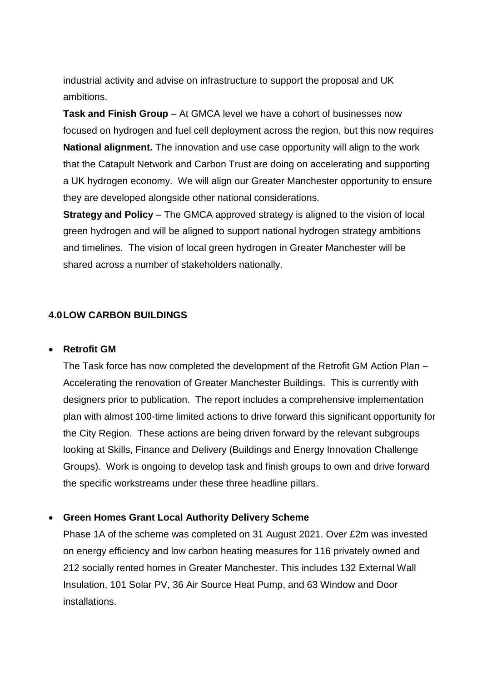industrial activity and advise on infrastructure to support the proposal and UK ambitions.

**Task and Finish Group** – At GMCA level we have a cohort of businesses now focused on hydrogen and fuel cell deployment across the region, but this now requires **National alignment.** The innovation and use case opportunity will align to the work that the Catapult Network and Carbon Trust are doing on accelerating and supporting a UK hydrogen economy. We will align our Greater Manchester opportunity to ensure they are developed alongside other national considerations.

**Strategy and Policy** – The GMCA approved strategy is aligned to the vision of local green hydrogen and will be aligned to support national hydrogen strategy ambitions and timelines. The vision of local green hydrogen in Greater Manchester will be shared across a number of stakeholders nationally.

#### **4.0LOW CARBON BUILDINGS**

#### **Retrofit GM**

The Task force has now completed the development of the Retrofit GM Action Plan – Accelerating the renovation of Greater Manchester Buildings. This is currently with designers prior to publication. The report includes a comprehensive implementation plan with almost 100-time limited actions to drive forward this significant opportunity for the City Region. These actions are being driven forward by the relevant subgroups looking at Skills, Finance and Delivery (Buildings and Energy Innovation Challenge Groups). Work is ongoing to develop task and finish groups to own and drive forward the specific workstreams under these three headline pillars.

#### **Green Homes Grant Local Authority Delivery Scheme**

Phase 1A of the scheme was completed on 31 August 2021. Over £2m was invested on energy efficiency and low carbon heating measures for 116 privately owned and 212 socially rented homes in Greater Manchester. This includes 132 External Wall Insulation, 101 Solar PV, 36 Air Source Heat Pump, and 63 Window and Door installations.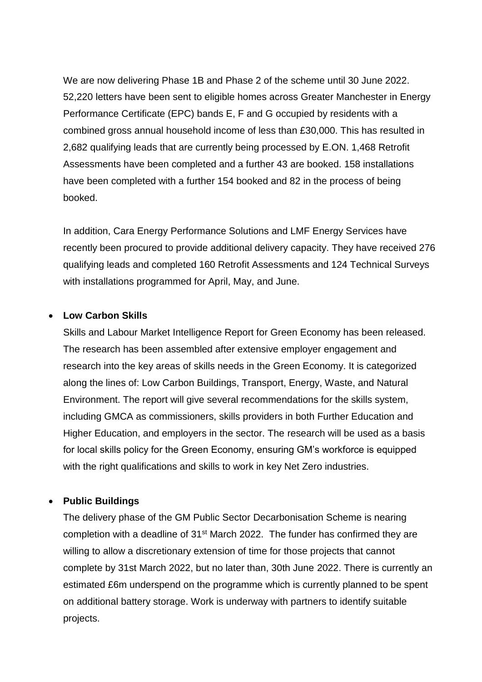We are now delivering Phase 1B and Phase 2 of the scheme until 30 June 2022. 52,220 letters have been sent to eligible homes across Greater Manchester in Energy Performance Certificate (EPC) bands E, F and G occupied by residents with a combined gross annual household income of less than £30,000. This has resulted in 2,682 qualifying leads that are currently being processed by E.ON. 1,468 Retrofit Assessments have been completed and a further 43 are booked. 158 installations have been completed with a further 154 booked and 82 in the process of being booked.

In addition, Cara Energy Performance Solutions and LMF Energy Services have recently been procured to provide additional delivery capacity. They have received 276 qualifying leads and completed 160 Retrofit Assessments and 124 Technical Surveys with installations programmed for April, May, and June.

#### **Low Carbon Skills**

Skills and Labour Market Intelligence Report for Green Economy has been released. The research has been assembled after extensive employer engagement and research into the key areas of skills needs in the Green Economy. It is categorized along the lines of: Low Carbon Buildings, Transport, Energy, Waste, and Natural Environment. The report will give several recommendations for the skills system, including GMCA as commissioners, skills providers in both Further Education and Higher Education, and employers in the sector. The research will be used as a basis for local skills policy for the Green Economy, ensuring GM's workforce is equipped with the right qualifications and skills to work in key Net Zero industries.

# **Public Buildings**

The delivery phase of the GM Public Sector Decarbonisation Scheme is nearing completion with a deadline of 31<sup>st</sup> March 2022. The funder has confirmed they are willing to allow a discretionary extension of time for those projects that cannot complete by 31st March 2022, but no later than, 30th June 2022. There is currently an estimated £6m underspend on the programme which is currently planned to be spent on additional battery storage. Work is underway with partners to identify suitable projects.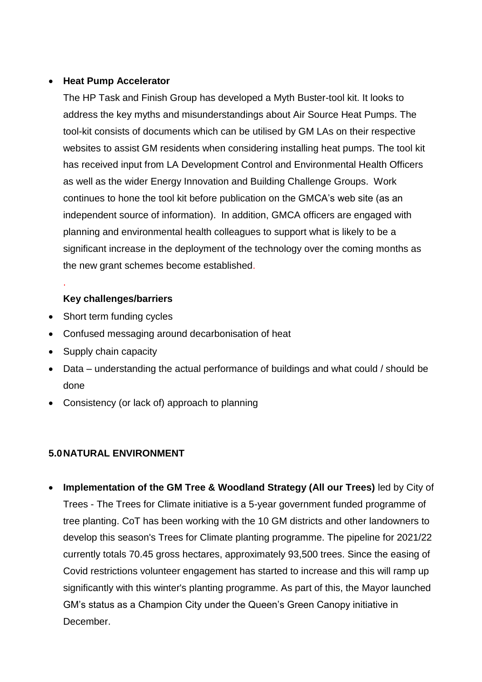#### **Heat Pump Accelerator**

The HP Task and Finish Group has developed a Myth Buster-tool kit. It looks to address the key myths and misunderstandings about Air Source Heat Pumps. The tool-kit consists of documents which can be utilised by GM LAs on their respective websites to assist GM residents when considering installing heat pumps. The tool kit has received input from LA Development Control and Environmental Health Officers as well as the wider Energy Innovation and Building Challenge Groups. Work continues to hone the tool kit before publication on the GMCA's web site (as an independent source of information). In addition, GMCA officers are engaged with planning and environmental health colleagues to support what is likely to be a significant increase in the deployment of the technology over the coming months as the new grant schemes become established.

# **Key challenges/barriers**

- Short term funding cycles
- Confused messaging around decarbonisation of heat
- Supply chain capacity

.

- Data understanding the actual performance of buildings and what could / should be done
- Consistency (or lack of) approach to planning

# **5.0NATURAL ENVIRONMENT**

 **Implementation of the GM Tree & Woodland Strategy (All our Trees)** led by City of Trees - The Trees for Climate initiative is a 5-year government funded programme of tree planting. CoT has been working with the 10 GM districts and other landowners to develop this season's Trees for Climate planting programme. The pipeline for 2021/22 currently totals 70.45 gross hectares, approximately 93,500 trees. Since the easing of Covid restrictions volunteer engagement has started to increase and this will ramp up significantly with this winter's planting programme. As part of this, the Mayor launched GM's status as a Champion City under the Queen's Green Canopy initiative in December.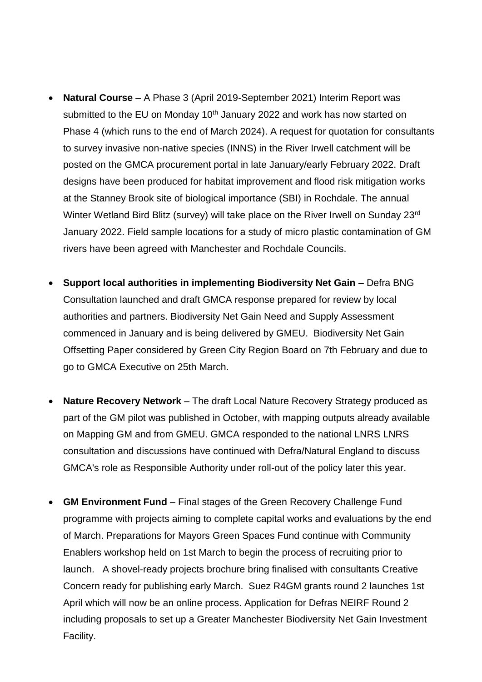- **Natural Course** A Phase 3 (April 2019-September 2021) Interim Report was submitted to the EU on Monday 10<sup>th</sup> January 2022 and work has now started on Phase 4 (which runs to the end of March 2024). A request for quotation for consultants to survey invasive non-native species (INNS) in the River Irwell catchment will be posted on the GMCA procurement portal in late January/early February 2022. Draft designs have been produced for habitat improvement and flood risk mitigation works at the Stanney Brook site of biological importance (SBI) in Rochdale. The annual Winter Wetland Bird Blitz (survey) will take place on the River Irwell on Sunday 23rd January 2022. Field sample locations for a study of micro plastic contamination of GM rivers have been agreed with Manchester and Rochdale Councils.
- **Support local authorities in implementing Biodiversity Net Gain** Defra BNG Consultation launched and draft GMCA response prepared for review by local authorities and partners. Biodiversity Net Gain Need and Supply Assessment commenced in January and is being delivered by GMEU. Biodiversity Net Gain Offsetting Paper considered by Green City Region Board on 7th February and due to go to GMCA Executive on 25th March.
- **Nature Recovery Network** The draft Local Nature Recovery Strategy produced as part of the GM pilot was published in October, with mapping outputs already available on Mapping GM and from GMEU. GMCA responded to the national LNRS LNRS consultation and discussions have continued with Defra/Natural England to discuss GMCA's role as Responsible Authority under roll-out of the policy later this year.
- **GM Environment Fund** Final stages of the Green Recovery Challenge Fund programme with projects aiming to complete capital works and evaluations by the end of March. Preparations for Mayors Green Spaces Fund continue with Community Enablers workshop held on 1st March to begin the process of recruiting prior to launch. A shovel-ready projects brochure bring finalised with consultants Creative Concern ready for publishing early March. Suez R4GM grants round 2 launches 1st April which will now be an online process. Application for Defras NEIRF Round 2 including proposals to set up a Greater Manchester Biodiversity Net Gain Investment Facility.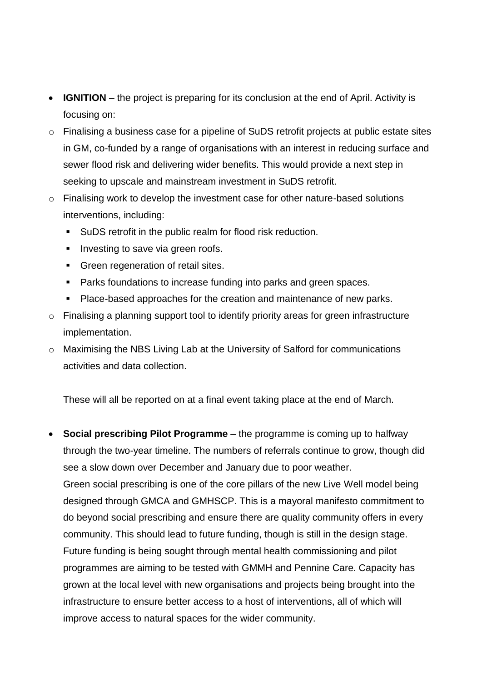- **IGNITION** the project is preparing for its conclusion at the end of April. Activity is focusing on:
- o Finalising a business case for a pipeline of SuDS retrofit projects at public estate sites in GM, co-funded by a range of organisations with an interest in reducing surface and sewer flood risk and delivering wider benefits. This would provide a next step in seeking to upscale and mainstream investment in SuDS retrofit.
- o Finalising work to develop the investment case for other nature-based solutions interventions, including:
	- SuDS retrofit in the public realm for flood risk reduction.
	- **Investing to save via green roofs.**
	- Green regeneration of retail sites.
	- **Parks foundations to increase funding into parks and green spaces.**
	- Place-based approaches for the creation and maintenance of new parks.
- o Finalising a planning support tool to identify priority areas for green infrastructure implementation.
- o Maximising the NBS Living Lab at the University of Salford for communications activities and data collection.

These will all be reported on at a final event taking place at the end of March.

 **Social prescribing Pilot Programme** – the programme is coming up to halfway through the two-year timeline. The numbers of referrals continue to grow, though did see a slow down over December and January due to poor weather. Green social prescribing is one of the core pillars of the new Live Well model being designed through GMCA and GMHSCP. This is a mayoral manifesto commitment to do beyond social prescribing and ensure there are quality community offers in every community. This should lead to future funding, though is still in the design stage. Future funding is being sought through mental health commissioning and pilot programmes are aiming to be tested with GMMH and Pennine Care. Capacity has grown at the local level with new organisations and projects being brought into the infrastructure to ensure better access to a host of interventions, all of which will improve access to natural spaces for the wider community.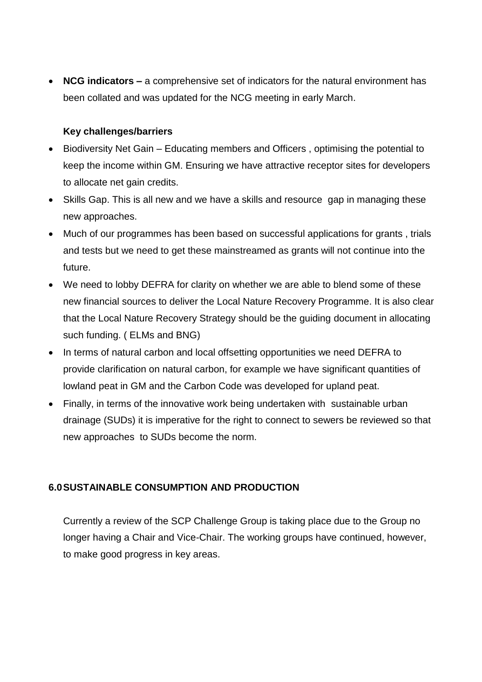**NCG indicators –** a comprehensive set of indicators for the natural environment has been collated and was updated for the NCG meeting in early March.

#### **Key challenges/barriers**

- Biodiversity Net Gain Educating members and Officers, optimising the potential to keep the income within GM. Ensuring we have attractive receptor sites for developers to allocate net gain credits.
- Skills Gap. This is all new and we have a skills and resource gap in managing these new approaches.
- Much of our programmes has been based on successful applications for grants , trials and tests but we need to get these mainstreamed as grants will not continue into the future.
- We need to lobby DEFRA for clarity on whether we are able to blend some of these new financial sources to deliver the Local Nature Recovery Programme. It is also clear that the Local Nature Recovery Strategy should be the guiding document in allocating such funding. ( ELMs and BNG)
- In terms of natural carbon and local offsetting opportunities we need DEFRA to provide clarification on natural carbon, for example we have significant quantities of lowland peat in GM and the Carbon Code was developed for upland peat.
- Finally, in terms of the innovative work being undertaken with sustainable urban drainage (SUDs) it is imperative for the right to connect to sewers be reviewed so that new approaches to SUDs become the norm.

# **6.0SUSTAINABLE CONSUMPTION AND PRODUCTION**

Currently a review of the SCP Challenge Group is taking place due to the Group no longer having a Chair and Vice-Chair. The working groups have continued, however, to make good progress in key areas.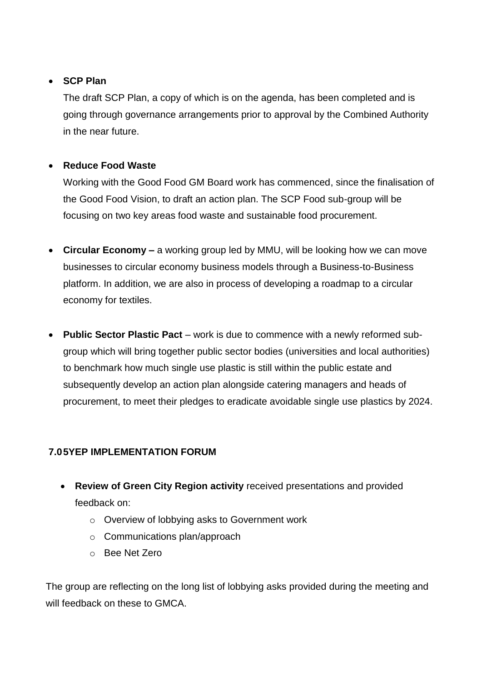# **SCP Plan**

The draft SCP Plan, a copy of which is on the agenda, has been completed and is going through governance arrangements prior to approval by the Combined Authority in the near future.

# **Reduce Food Waste**

Working with the Good Food GM Board work has commenced, since the finalisation of the Good Food Vision, to draft an action plan. The SCP Food sub-group will be focusing on two key areas food waste and sustainable food procurement.

- **Circular Economy –** a working group led by MMU, will be looking how we can move businesses to circular economy business models through a Business-to-Business platform. In addition, we are also in process of developing a roadmap to a circular economy for textiles.
- **Public Sector Plastic Pact** work is due to commence with a newly reformed subgroup which will bring together public sector bodies (universities and local authorities) to benchmark how much single use plastic is still within the public estate and subsequently develop an action plan alongside catering managers and heads of procurement, to meet their pledges to eradicate avoidable single use plastics by 2024.

# **7.05YEP IMPLEMENTATION FORUM**

- **Review of Green City Region activity** received presentations and provided feedback on:
	- o Overview of lobbying asks to Government work
	- o Communications plan/approach
	- o Bee Net Zero

The group are reflecting on the long list of lobbying asks provided during the meeting and will feedback on these to GMCA.